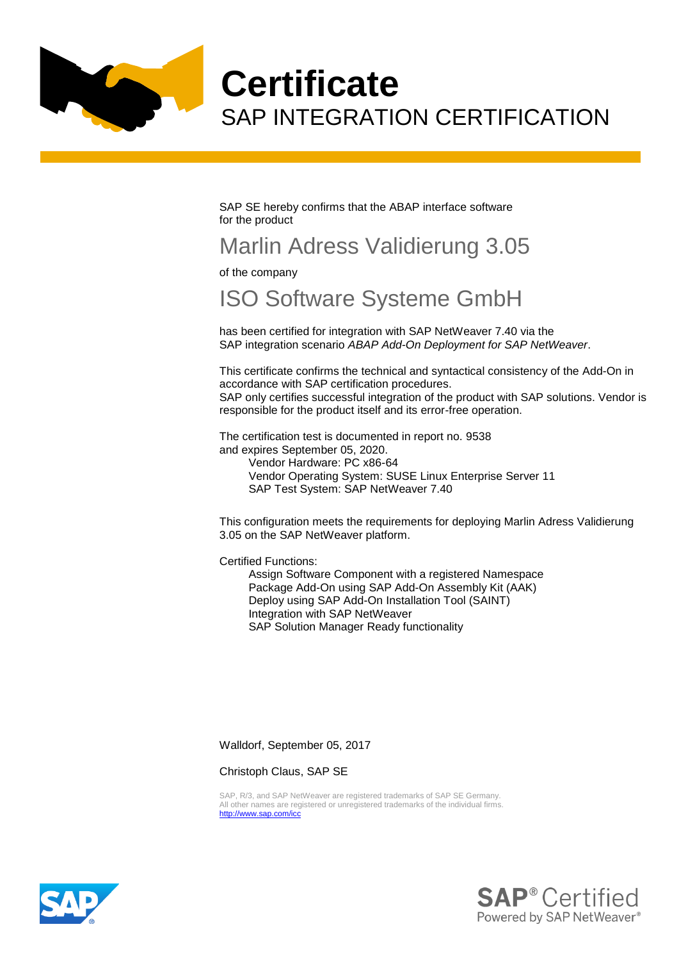

**Certificate** SAP INTEGRATION CERTIFICATION

SAP SE hereby confirms that the ABAP interface software for the product

## Marlin Adress Validierung 3.05

of the company

## ISO Software Systeme GmbH

has been certified for integration with SAP NetWeaver 7.40 via the SAP integration scenario *ABAP Add-On Deployment for SAP NetWeaver*.

This certificate confirms the technical and syntactical consistency of the Add-On in accordance with SAP certification procedures.

SAP only certifies successful integration of the product with SAP solutions. Vendor is responsible for the product itself and its error-free operation.

The certification test is documented in report no. 9538 and expires September 05, 2020.

Vendor Hardware: PC x86-64 Vendor Operating System: SUSE Linux Enterprise Server 11 SAP Test System: SAP NetWeaver 7.40

This configuration meets the requirements for deploying Marlin Adress Validierung 3.05 on the SAP NetWeaver platform.

Certified Functions:

Assign Software Component with a registered Namespace Package Add-On using SAP Add-On Assembly Kit (AAK) Deploy using SAP Add-On Installation Tool (SAINT) Integration with SAP NetWeaver SAP Solution Manager Ready functionality

Walldorf, September 05, 2017

Christoph Claus, SAP SE

SAP, R/3, and SAP NetWeaver are registered trademarks of SAP SE Germany. All other names are registered or unregistered trademarks of the individual firms. <http://www.sap.com/icc>



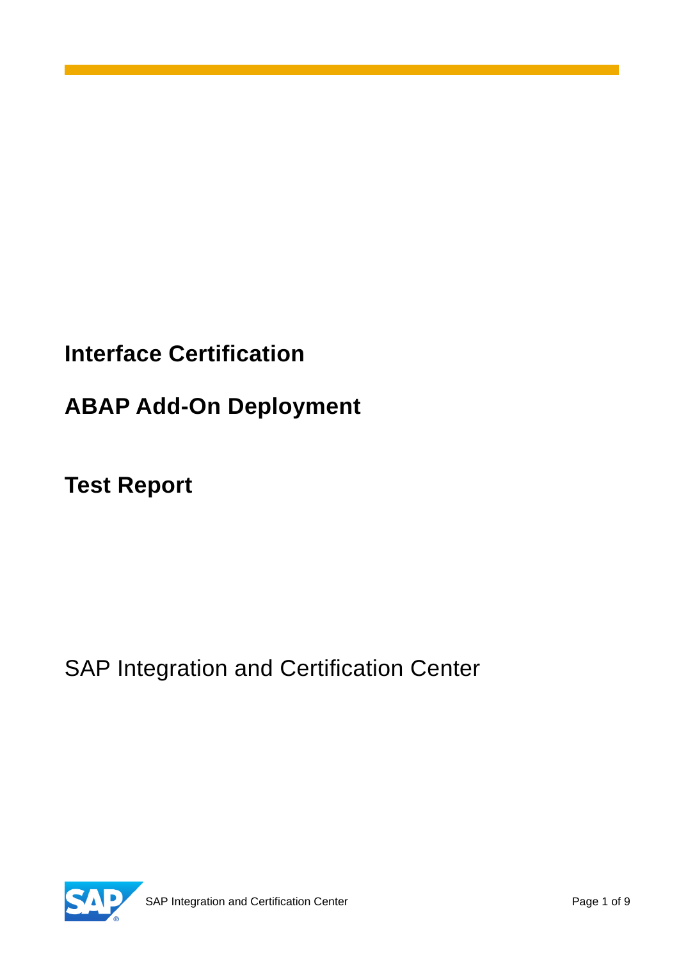# **Interface Certification**

# **ABAP Add-On Deployment**

**Test Report**

SAP Integration and Certification Center

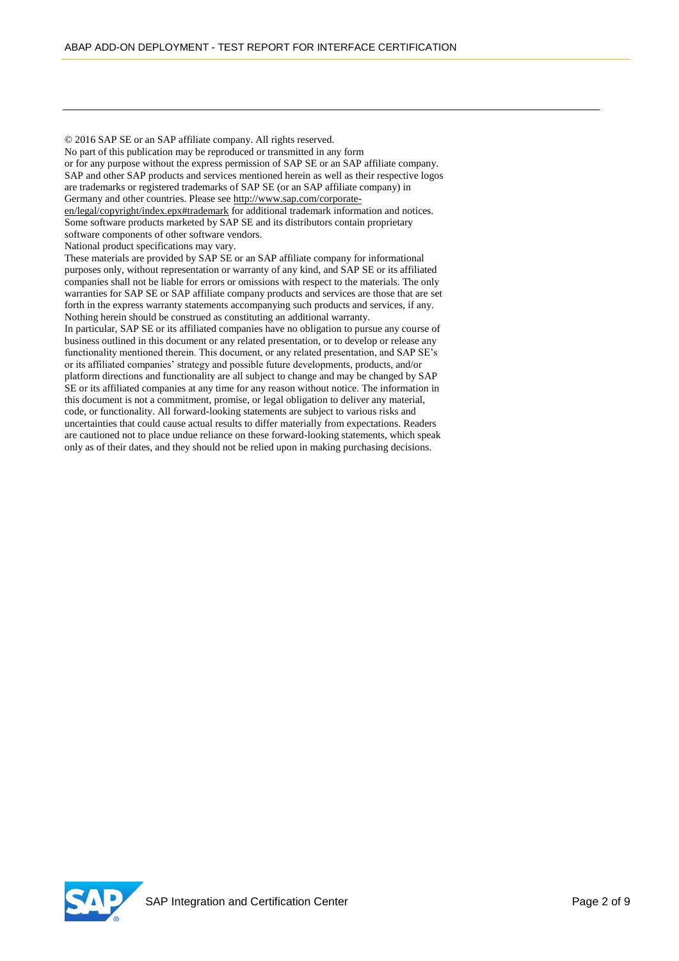© 2016 SAP SE or an SAP affiliate company. All rights reserved. No part of this publication may be reproduced or transmitted in any form or for any purpose without the express permission of SAP SE or an SAP affiliate company. SAP and other SAP products and services mentioned herein as well as their respective logos are trademarks or registered trademarks of SAP SE (or an SAP affiliate company) in Germany and other countries. Please see [http://www.sap.com/corporate](http://www.sap.com/corporate-en/legal/copyright/index.epx#trademark)[en/legal/copyright/index.epx#trademark](http://www.sap.com/corporate-en/legal/copyright/index.epx#trademark) for additional trademark information and notices. Some software products marketed by SAP SE and its distributors contain proprietary software components of other software vendors. National product specifications may vary. These materials are provided by SAP SE or an SAP affiliate company for informational purposes only, without representation or warranty of any kind, and SAP SE or its affiliated companies shall not be liable for errors or omissions with respect to the materials. The only warranties for SAP SE or SAP affiliate company products and services are those that are set forth in the express warranty statements accompanying such products and services, if any. Nothing herein should be construed as constituting an additional warranty.

In particular, SAP SE or its affiliated companies have no obligation to pursue any course of business outlined in this document or any related presentation, or to develop or release any functionality mentioned therein. This document, or any related presentation, and SAP SE's or its affiliated companies' strategy and possible future developments, products, and/or platform directions and functionality are all subject to change and may be changed by SAP SE or its affiliated companies at any time for any reason without notice. The information in this document is not a commitment, promise, or legal obligation to deliver any material, code, or functionality. All forward-looking statements are subject to various risks and uncertainties that could cause actual results to differ materially from expectations. Readers are cautioned not to place undue reliance on these forward-looking statements, which speak only as of their dates, and they should not be relied upon in making purchasing decisions.

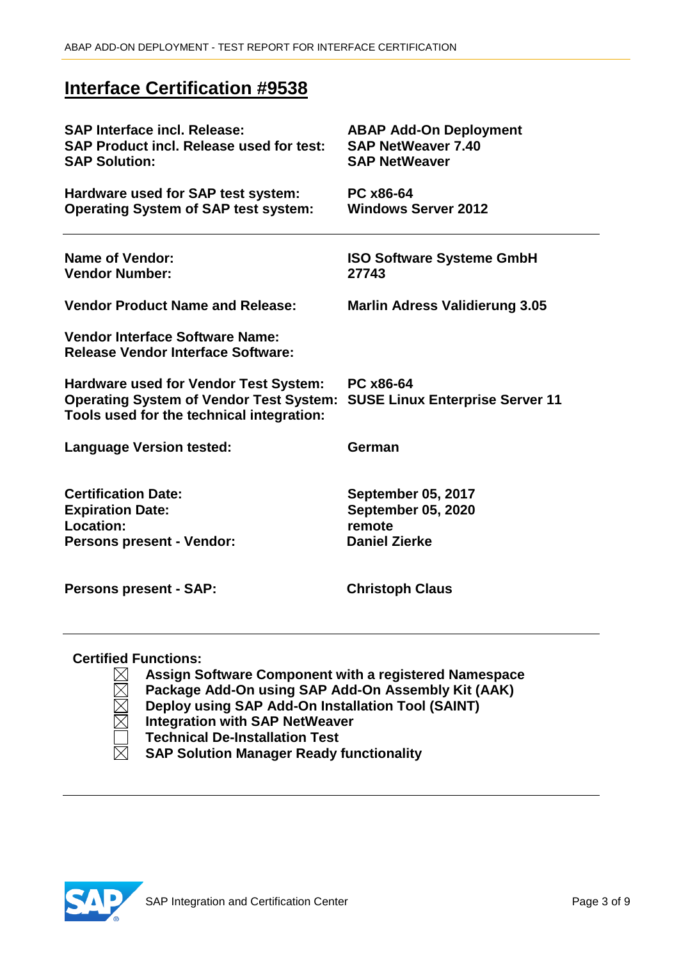## **Interface Certification #9538**

| <b>SAP Interface incl. Release:</b><br><b>SAP Product incl. Release used for test:</b><br><b>SAP Solution:</b>                              | <b>ABAP Add-On Deployment</b><br><b>SAP NetWeaver 7.40</b><br><b>SAP NetWeaver</b>       |
|---------------------------------------------------------------------------------------------------------------------------------------------|------------------------------------------------------------------------------------------|
| Hardware used for SAP test system:<br><b>Operating System of SAP test system:</b>                                                           | PC x86-64<br><b>Windows Server 2012</b>                                                  |
| <b>Name of Vendor:</b><br><b>Vendor Number:</b>                                                                                             | <b>ISO Software Systeme GmbH</b><br>27743                                                |
| <b>Vendor Product Name and Release:</b>                                                                                                     | <b>Marlin Adress Validierung 3.05</b>                                                    |
| <b>Vendor Interface Software Name:</b><br><b>Release Vendor Interface Software:</b>                                                         |                                                                                          |
| <b>Hardware used for Vendor Test System:</b><br><b>Operating System of Vendor Test System:</b><br>Tools used for the technical integration: | PC x86-64<br><b>SUSE Linux Enterprise Server 11</b>                                      |
| <b>Language Version tested:</b>                                                                                                             | German                                                                                   |
| <b>Certification Date:</b><br><b>Expiration Date:</b><br>Location:<br><b>Persons present - Vendor:</b>                                      | <b>September 05, 2017</b><br><b>September 05, 2020</b><br>remote<br><b>Daniel Zierke</b> |
| <b>Persons present - SAP:</b>                                                                                                               | <b>Christoph Claus</b>                                                                   |

#### **Certified Functions:**

**Assign Software Component with a registered Namespace**

- $\boxtimes$ **Package Add-On using SAP Add-On Assembly Kit (AAK)**
	- **Deploy using SAP Add-On Installation Tool (SAINT)**
	- **Integration with SAP NetWeaver**
	- **Technical De-Installation Test**
- $\boxtimes$ **SAP Solution Manager Ready functionality**

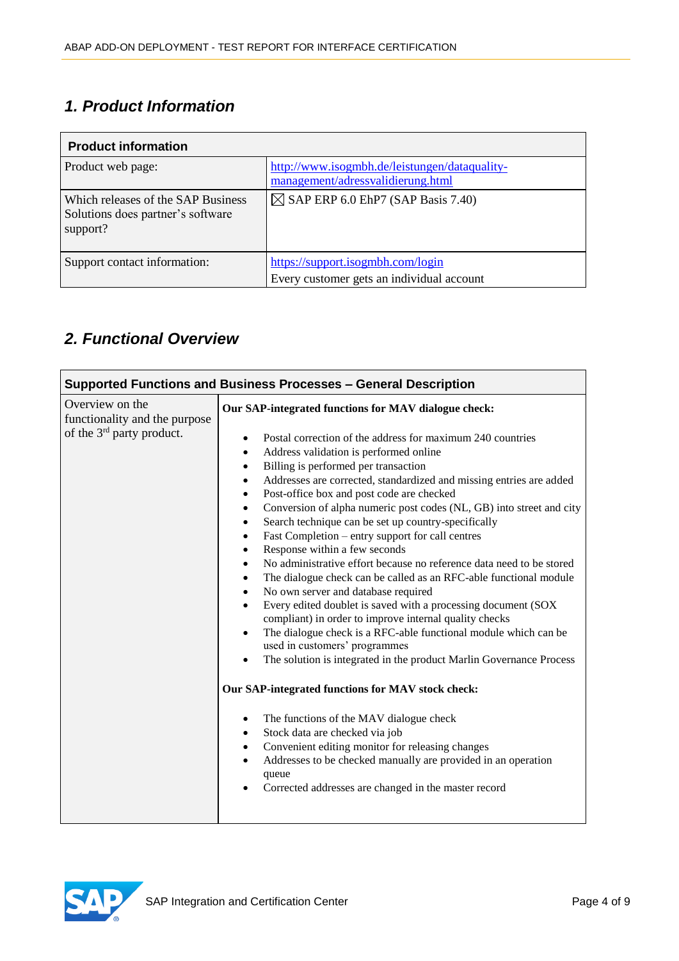## *1. Product Information*

| <b>Product information</b>                                                          |                                                                                    |  |  |
|-------------------------------------------------------------------------------------|------------------------------------------------------------------------------------|--|--|
| Product web page:                                                                   | http://www.isogmbh.de/leistungen/dataquality-<br>management/adressvalidierung.html |  |  |
| Which releases of the SAP Business<br>Solutions does partner's software<br>support? | $\boxtimes$ SAP ERP 6.0 EhP7 (SAP Basis 7.40)                                      |  |  |
| Support contact information:                                                        | https://support.isogmbh.com/login<br>Every customer gets an individual account     |  |  |

## *2. Functional Overview*

|                                                                                           | Supported Functions and Business Processes - General Description                                                                                                                                                                                                                                                                                                                                                                                                                                                                                                                                                                                                                                                                                                                                                                                                                                                                                                                                                                                                                                                                                                                                                                                                                                                                                                                                                                                                                                                                                                 |  |  |
|-------------------------------------------------------------------------------------------|------------------------------------------------------------------------------------------------------------------------------------------------------------------------------------------------------------------------------------------------------------------------------------------------------------------------------------------------------------------------------------------------------------------------------------------------------------------------------------------------------------------------------------------------------------------------------------------------------------------------------------------------------------------------------------------------------------------------------------------------------------------------------------------------------------------------------------------------------------------------------------------------------------------------------------------------------------------------------------------------------------------------------------------------------------------------------------------------------------------------------------------------------------------------------------------------------------------------------------------------------------------------------------------------------------------------------------------------------------------------------------------------------------------------------------------------------------------------------------------------------------------------------------------------------------------|--|--|
| Overview on the<br>functionality and the purpose<br>of the 3 <sup>rd</sup> party product. | Our SAP-integrated functions for MAV dialogue check:<br>Postal correction of the address for maximum 240 countries<br>Address validation is performed online<br>٠<br>Billing is performed per transaction<br>$\bullet$<br>Addresses are corrected, standardized and missing entries are added<br>٠<br>Post-office box and post code are checked<br>٠<br>Conversion of alpha numeric post codes (NL, GB) into street and city<br>$\bullet$<br>Search technique can be set up country-specifically<br>$\bullet$<br>Fast Completion – entry support for call centres<br>$\bullet$<br>Response within a few seconds<br>$\bullet$<br>No administrative effort because no reference data need to be stored<br>$\bullet$<br>The dialogue check can be called as an RFC-able functional module<br>$\bullet$<br>No own server and database required<br>$\bullet$<br>Every edited doublet is saved with a processing document (SOX<br>$\bullet$<br>compliant) in order to improve internal quality checks<br>The dialogue check is a RFC-able functional module which can be<br>$\bullet$<br>used in customers' programmes<br>The solution is integrated in the product Marlin Governance Process<br>٠<br>Our SAP-integrated functions for MAV stock check:<br>The functions of the MAV dialogue check<br>٠<br>Stock data are checked via job<br>$\bullet$<br>Convenient editing monitor for releasing changes<br>$\bullet$<br>Addresses to be checked manually are provided in an operation<br>$\bullet$<br>queue<br>Corrected addresses are changed in the master record |  |  |
|                                                                                           |                                                                                                                                                                                                                                                                                                                                                                                                                                                                                                                                                                                                                                                                                                                                                                                                                                                                                                                                                                                                                                                                                                                                                                                                                                                                                                                                                                                                                                                                                                                                                                  |  |  |

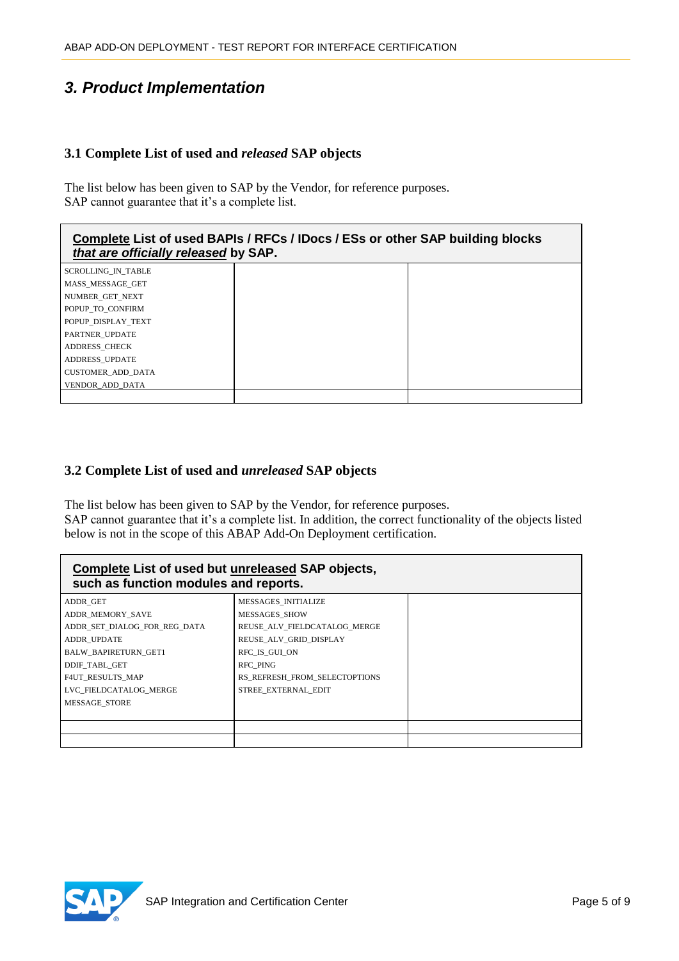## *3. Product Implementation*

#### **3.1 Complete List of used and** *released* **SAP objects**

The list below has been given to SAP by the Vendor, for reference purposes. SAP cannot guarantee that it's a complete list.

#### **Complete List of used BAPIs / RFCs / IDocs / ESs or other SAP building blocks**  *that are officially released* **by SAP.**

SCROLLING\_IN\_TABLE MASS\_MESSAGE\_GET NUMBER\_GET\_NEXT POPUP TO CONFIRM POPUP\_DISPLAY\_TEXT PARTNER\_UPDATE ADDRESS\_CHECK ADDRESS\_UPDATE CUSTOMER\_ADD\_DATA VENDOR\_ADD\_DATA

#### **3.2 Complete List of used and** *unreleased* **SAP objects**

The list below has been given to SAP by the Vendor, for reference purposes.

SAP cannot guarantee that it's a complete list. In addition, the correct functionality of the objects listed below is not in the scope of this ABAP Add-On Deployment certification.

| Complete List of used but unreleased SAP objects,<br>such as function modules and reports. |                               |  |
|--------------------------------------------------------------------------------------------|-------------------------------|--|
| ADDR GET                                                                                   | MESSAGES INITIALIZE           |  |
| ADDR MEMORY SAVE                                                                           | <b>MESSAGES SHOW</b>          |  |
| ADDR SET DIALOG FOR REG DATA                                                               | REUSE_ALV_FIELDCATALOG MERGE  |  |
| ADDR UPDATE                                                                                | REUSE ALV GRID DISPLAY        |  |
| <b>BALW BAPIRETURN GET1</b>                                                                | RFC IS GUI ON                 |  |
| DDIF TABL GET                                                                              | <b>RFC PING</b>               |  |
| <b>F4UT RESULTS MAP</b>                                                                    | RS_REFRESH_FROM_SELECTOPTIONS |  |
| LVC FIELDCATALOG MERGE                                                                     | STREE EXTERNAL EDIT           |  |
| <b>MESSAGE STORE</b>                                                                       |                               |  |
|                                                                                            |                               |  |
|                                                                                            |                               |  |
|                                                                                            |                               |  |

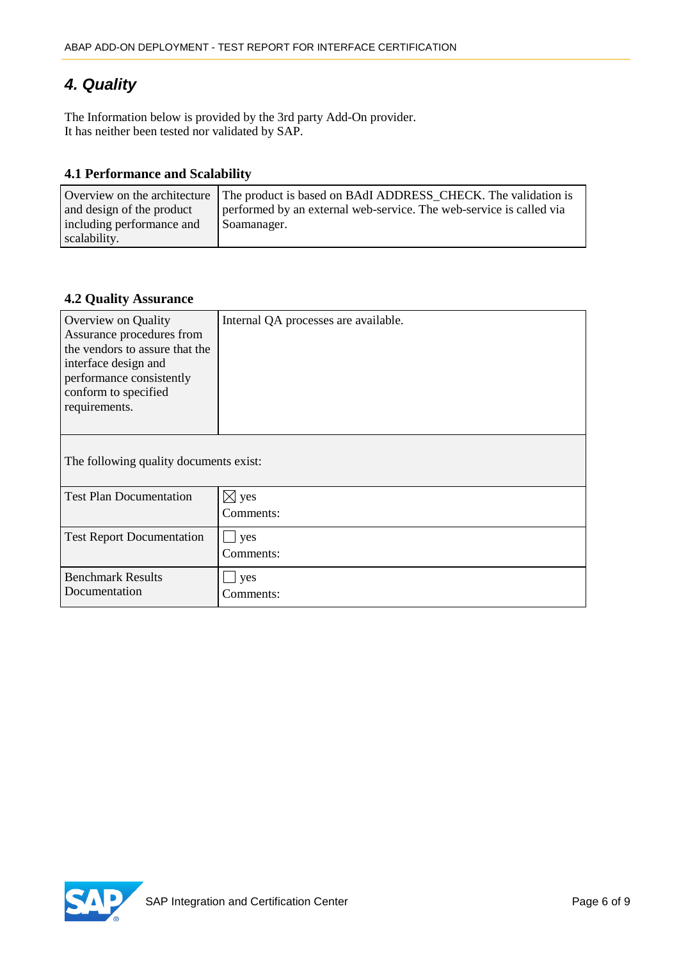## *4. Quality*

The Information below is provided by the 3rd party Add-On provider. It has neither been tested nor validated by SAP.

#### **4.1 Performance and Scalability**

|                           | Overview on the architecture The product is based on BAdI ADDRESS CHECK. The validation is |
|---------------------------|--------------------------------------------------------------------------------------------|
| and design of the product | performed by an external web-service. The web-service is called via                        |
| including performance and | Soamanager.                                                                                |
| scalability.              |                                                                                            |

#### **4.2 Quality Assurance**

| Overview on Quality<br>Assurance procedures from<br>the vendors to assure that the<br>interface design and<br>performance consistently<br>conform to specified<br>requirements. | Internal QA processes are available. |  |
|---------------------------------------------------------------------------------------------------------------------------------------------------------------------------------|--------------------------------------|--|
| The following quality documents exist:                                                                                                                                          |                                      |  |
| <b>Test Plan Documentation</b>                                                                                                                                                  | $\boxtimes$ yes                      |  |
|                                                                                                                                                                                 | Comments:                            |  |
| <b>Test Report Documentation</b>                                                                                                                                                | yes                                  |  |
|                                                                                                                                                                                 | Comments:                            |  |
| <b>Benchmark Results</b>                                                                                                                                                        | yes                                  |  |
| Documentation                                                                                                                                                                   | Comments:                            |  |

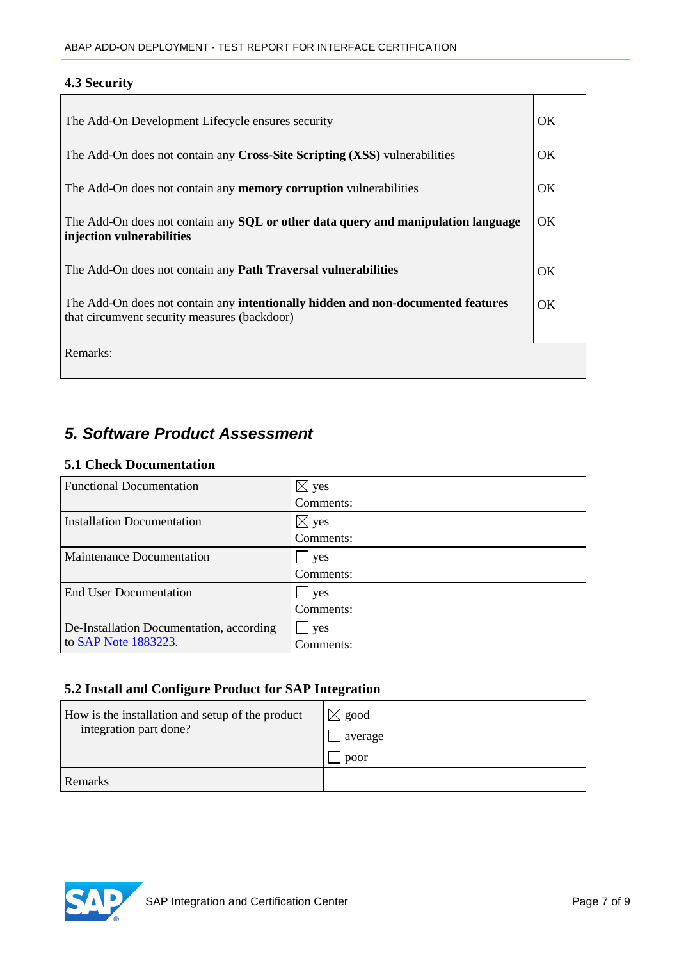### **4.3 Security**

Г

| The Add-On Development Lifecycle ensures security                                                                                       |    |
|-----------------------------------------------------------------------------------------------------------------------------------------|----|
| The Add-On does not contain any Cross-Site Scripting (XSS) vulnerabilities                                                              |    |
| The Add-On does not contain any <b>memory corruption</b> vulnerabilities                                                                |    |
| The Add-On does not contain any <b>SQL</b> or other data query and manipulation language<br>injection vulnerabilities                   |    |
| The Add-On does not contain any <b>Path Traversal vulnerabilities</b>                                                                   | OK |
| The Add-On does not contain any <b>intentionally hidden and non-documented features</b><br>that circumvent security measures (backdoor) |    |
| Remarks:                                                                                                                                |    |

## *5. Software Product Assessment*

#### **5.1 Check Documentation**

| <b>Functional Documentation</b>          | $\boxtimes$ yes |
|------------------------------------------|-----------------|
|                                          | Comments:       |
| Installation Documentation               | $\boxtimes$ yes |
|                                          | Comments:       |
| Maintenance Documentation                | l yes           |
|                                          | Comments:       |
| <b>End User Documentation</b>            | ves             |
|                                          | Comments:       |
| De-Installation Documentation, according | yes             |
| to SAP Note 1883223.                     | Comments:       |

### **5.2 Install and Configure Product for SAP Integration**

| How is the installation and setup of the product<br>integration part done? | $\boxtimes$ good<br>average<br>poor |
|----------------------------------------------------------------------------|-------------------------------------|
| Remarks                                                                    |                                     |



 $\overline{\phantom{0}}$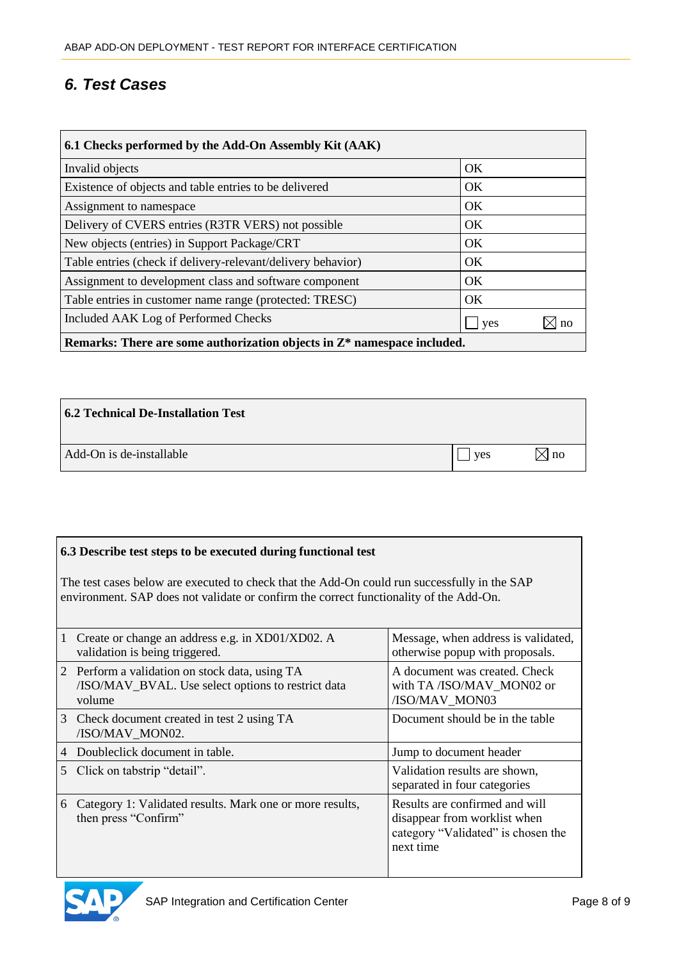## *6. Test Cases*

| 6.1 Checks performed by the Add-On Assembly Kit (AAK)                               |           |  |
|-------------------------------------------------------------------------------------|-----------|--|
| Invalid objects                                                                     | <b>OK</b> |  |
| Existence of objects and table entries to be delivered                              | <b>OK</b> |  |
| Assignment to namespace                                                             | <b>OK</b> |  |
| Delivery of CVERS entries (R3TR VERS) not possible                                  | <b>OK</b> |  |
| New objects (entries) in Support Package/CRT                                        | OK        |  |
| Table entries (check if delivery-relevant/delivery behavior)                        | <b>OK</b> |  |
| Assignment to development class and software component                              | <b>OK</b> |  |
| Table entries in customer name range (protected: TRESC)                             | <b>OK</b> |  |
| Included AAK Log of Performed Checks                                                | ves<br>no |  |
| Remarks: There are some authorization objects in $\mathbb{Z}^*$ namespace included. |           |  |

| <b>6.2 Technical De-Installation Test</b> |     |              |
|-------------------------------------------|-----|--------------|
| Add-On is de-installable                  | ves | $\sqrt{}$ no |

#### **6.3 Describe test steps to be executed during functional test**

The test cases below are executed to check that the Add-On could run successfully in the SAP environment. SAP does not validate or confirm the correct functionality of the Add-On.

|   | Create or change an address e.g. in XD01/XD02. A<br>validation is being triggered.                             | Message, when address is validated,<br>otherwise popup with proposals.                                            |
|---|----------------------------------------------------------------------------------------------------------------|-------------------------------------------------------------------------------------------------------------------|
|   | 2 Perform a validation on stock data, using TA<br>/ISO/MAV_BVAL. Use select options to restrict data<br>volume | A document was created. Check<br>with TA/ISO/MAV MON02 or<br>/ISO/MAV_MON03                                       |
| 3 | Check document created in test 2 using TA<br>/ISO/MAV_MON02.                                                   | Document should be in the table                                                                                   |
| 4 | Doubleclick document in table.                                                                                 | Jump to document header                                                                                           |
|   | 5 Click on tabstrip "detail".                                                                                  | Validation results are shown,<br>separated in four categories                                                     |
| 6 | Category 1: Validated results. Mark one or more results,<br>then press "Confirm"                               | Results are confirmed and will<br>disappear from worklist when<br>category "Validated" is chosen the<br>next time |